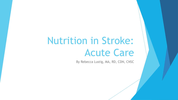# Nutrition in Stroke: Acute Care

By Rebecca Lustig, MA, RD, CDN, CNSC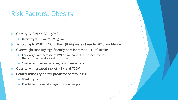### Risk Factors: Obesity

- Obesity  $\rightarrow$  BMI >/=30 kg/m2
	- ▶ Overweight  $\rightarrow$  BMI 25-29 kg/m2
- According to WHO, >700 million (9.6%) were obese by 2015 worldwide
- Overweight/obesity significantly a/w increased risk of stroke
	- For every unit increase of BMI above normal  $\rightarrow$  6% increase in the adjusted relative risk of stroke
	- Similar for men and women, regardless of race
- Obesity  $\rightarrow$  increased risk of HTN and T2DM
- Central adiposity better predictor of stroke risk
	- **Naist/hip ratio**
	- Risk higher for middle-aged pts vs older pts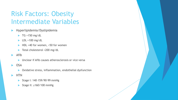# Risk Factors: Obesity Intermediate Variables

- Hyperlipidemia/Dyslipidemia
	- $\blacktriangleright$  TG >150 mg/dL
	- $\blacktriangleright$  LDL >100 mg/dL
	- ▶ HDL <40 for women, <50 for women
	- Total cholesterol >200 mg/dL
- Afib
	- Unclear if Afib causes atherosclerosis or vice versa
- $\triangleright$  OSA
	- Oxidative stress, inflammation, endothelial dysfunction
- **HTN** 
	- ▶ Stage I: 140-159/90-99 mmHg
	- Stage II: ≥160/100 mmHg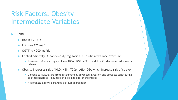## Risk Factors: Obesity Intermediate Variables

- T2DM
	- $HbA1c > 7 = 6.5$
	- $\blacktriangleright$  FBG >/= 126 mg/dL
	- OGTT >/= 200 mg/dL
	- $\triangleright$  Central adiposity  $\rightarrow$  hormone dysregulation  $\rightarrow$  insulin resistance over time
		- Increased inflammatory cytokines TNFα, iNOS, MCP-1, and IL-6.41; decreased adiponectin release
	- ▶ Obesity increases risk of HLD, HTN, T2DM, Afib, OSA which increase risk of stroke
		- ▶ Damage to vasculature from inflammation, advanced glycation end products contributing to atherosclerosis/likelihood of blockage and/or thrombosis
		- **Hypercoagulability, enhanced platelet aggregation**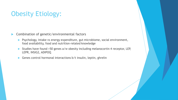# Obesity Etiology:

**Combination of genetic/environmental factors** 

- **Psychology, intake vs energy expenditure, gut microbiome, social environment,** food availability, food and nutrition-related knowledge
- Studies have found >50 genes a/w obesity including melanocortin 4 receptor, LEP, LEPR, INSIG2, ADIPOQ
- ▶ Genes control hormonal interactions b/t insulin, leptin, ghrelin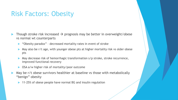## Risk Factors: Obesity

- Though stroke risk increased  $\rightarrow$  prognosis may be better in overweight/obese vs normal wt counterparts
	- ▶ "Obesity paradox" decreased mortality rates in event of stroke
	- May also be r/t age, with younger obese pts at higher mortality risk vs older obese pts
	- ▶ May decrease risk of hemorrhagic transformation s/p stroke, stroke recurrence, improved functional recovery
	- ▶ OSA a/w higher risk of mortality/poor outcome
- May be r/t obese survivors healthier at baseline vs those with metabolically "benign" obesity
	- 11-25% of obese people have normal BG and insulin regulation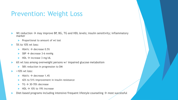### Prevention: Weight Loss

- Wt reduction  $\rightarrow$  may improve BP, BG, TG and HDL levels; insulin sensitivity; inflammatory marker
	- Proportional to amount of wt lost
- 5% to 10% wt loss:
	- HbA1c  $\rightarrow$  decrease 0.5%
	- $SBP \rightarrow$  decrease 3-6 mmHg
	- $HDL \rightarrow$  increase 3 mg/dL
- ▶ 6% wt loss among overweight persons w/ impaired glucose metabolism
	- 58% reduction in progression to DM
- >10% wt loss:
	- HbA1c  $\rightarrow$  decrease 1.4%
	- 42% to 51% improvement in insulin resistance
	- $TG \rightarrow 30-70\%$  decrease
	- HDL  $\rightarrow$  10% to 19% increase
- Diet-based programs including intensive/frequent lifestyle counseling  $\rightarrow$  most successful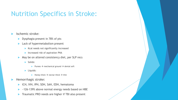## Nutrition Specifics in Stroke:

- Ischemic stroke:
	- **Dysphagia present in 78% of pts**
	- **Lack of hypermetabolism present** 
		- $\blacktriangleright$  Kcal needs not significantly increased
		- **Increased risk of aspiration PNA**
	- $\blacktriangleright$  May be on altered consistency diet, per SLP recs
		- Solids:
			- Purees  $\rightarrow$  mechanical ground  $\rightarrow$  dental soft
		- **Liquids:** 
			- Honey-thick  $\rightarrow$  nectar-thick  $\rightarrow$  thin
- Hemorrhagic stroke:
	- ICH, IVH, IPH, SDH, SAH, EDH, hematoma
	- ~126-139% above normal energy needs based on HBE
	- Traumatic PRO needs are higher if TBI also present